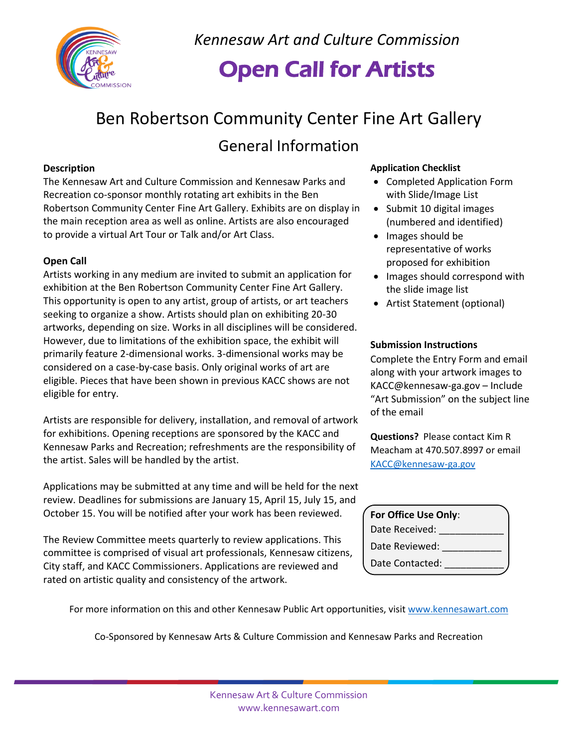

*Kennesaw Art and Culture Commission*

## Open Call for Artists

# Ben Robertson Community Center Fine Art Gallery

### General Information

### **Description**

The Kennesaw Art and Culture Commission and Kennesaw Parks and Recreation co-sponsor monthly rotating art exhibits in the Ben Robertson Community Center Fine Art Gallery. Exhibits are on display in the main reception area as well as online. Artists are also encouraged to provide a virtual Art Tour or Talk and/or Art Class.

### **Open Call**

Artists working in any medium are invited to submit an application for exhibition at the Ben Robertson Community Center Fine Art Gallery. This opportunity is open to any artist, group of artists, or art teachers seeking to organize a show. Artists should plan on exhibiting 20-30 artworks, depending on size. Works in all disciplines will be considered. However, due to limitations of the exhibition space, the exhibit will primarily feature 2-dimensional works. 3-dimensional works may be considered on a case-by-case basis. Only original works of art are eligible. Pieces that have been shown in previous KACC shows are not eligible for entry.

Artists are responsible for delivery, installation, and removal of artwork for exhibitions. Opening receptions are sponsored by the KACC and Kennesaw Parks and Recreation; refreshments are the responsibility of the artist. Sales will be handled by the artist.

Applications may be submitted at any time and will be held for the next review. Deadlines for submissions are January 15, April 15, July 15, and October 15. You will be notified after your work has been reviewed.

The Review Committee meets quarterly to review applications. This committee is comprised of visual art professionals, Kennesaw citizens, City staff, and KACC Commissioners. Applications are reviewed and rated on artistic quality and consistency of the artwork.

### **Application Checklist**

- Completed Application Form with Slide/Image List
- Submit 10 digital images (numbered and identified)
- Images should be representative of works proposed for exhibition
- Images should correspond with the slide image list
- Artist Statement (optional)

### **Submission Instructions**

Complete the Entry Form and email along with your artwork images to KACC@kennesaw-ga.gov – Include "Art Submission" on the subject line of the email

**Questions?** Please contact Kim R Meacham at 470.507.8997 or email [KACC@kennesaw-ga.gov](mailto:KACC@kennesaw-ga.gov)

| For Office Use Only: |  |
|----------------------|--|
| Date Received:       |  |
| Date Reviewed:       |  |
| Date Contacted:      |  |

For more information on this and other Kennesaw Public Art opportunities, visit [www.kennesawart.com](http://www.kennesawart.com/)

Co-Sponsored by Kennesaw Arts & Culture Commission and Kennesaw Parks and Recreation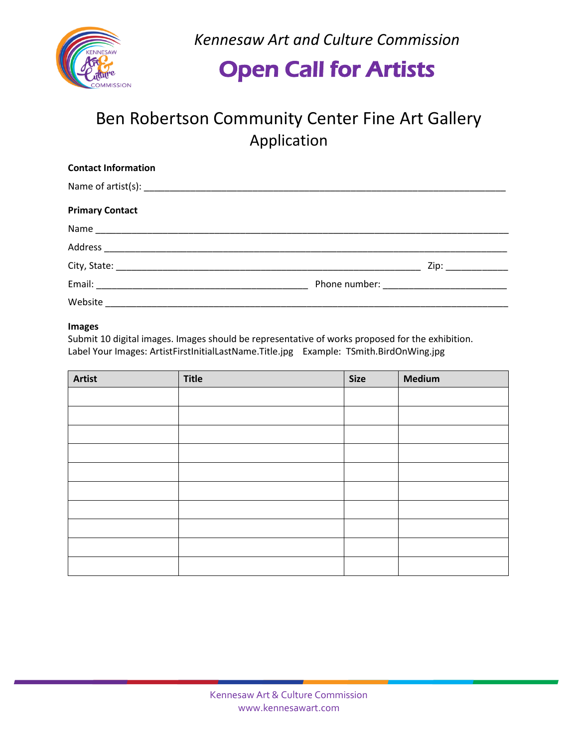

*Kennesaw Art and Culture Commission*

## Open Call for Artists

## Ben Robertson Community Center Fine Art Gallery Application

| <b>Contact Information</b>                                                                                                                                                                                                     |  |
|--------------------------------------------------------------------------------------------------------------------------------------------------------------------------------------------------------------------------------|--|
|                                                                                                                                                                                                                                |  |
| <b>Primary Contact</b>                                                                                                                                                                                                         |  |
|                                                                                                                                                                                                                                |  |
|                                                                                                                                                                                                                                |  |
|                                                                                                                                                                                                                                |  |
|                                                                                                                                                                                                                                |  |
| Website Participate of the contract of the contract of the contract of the contract of the contract of the contract of the contract of the contract of the contract of the contract of the contract of the contract of the con |  |

#### **Images**

Submit 10 digital images. Images should be representative of works proposed for the exhibition. Label Your Images: ArtistFirstInitialLastName.Title.jpg Example: TSmith.BirdOnWing.jpg

| <b>Artist</b> | <b>Title</b> | <b>Size</b> | <b>Medium</b> |
|---------------|--------------|-------------|---------------|
|               |              |             |               |
|               |              |             |               |
|               |              |             |               |
|               |              |             |               |
|               |              |             |               |
|               |              |             |               |
|               |              |             |               |
|               |              |             |               |
|               |              |             |               |
|               |              |             |               |